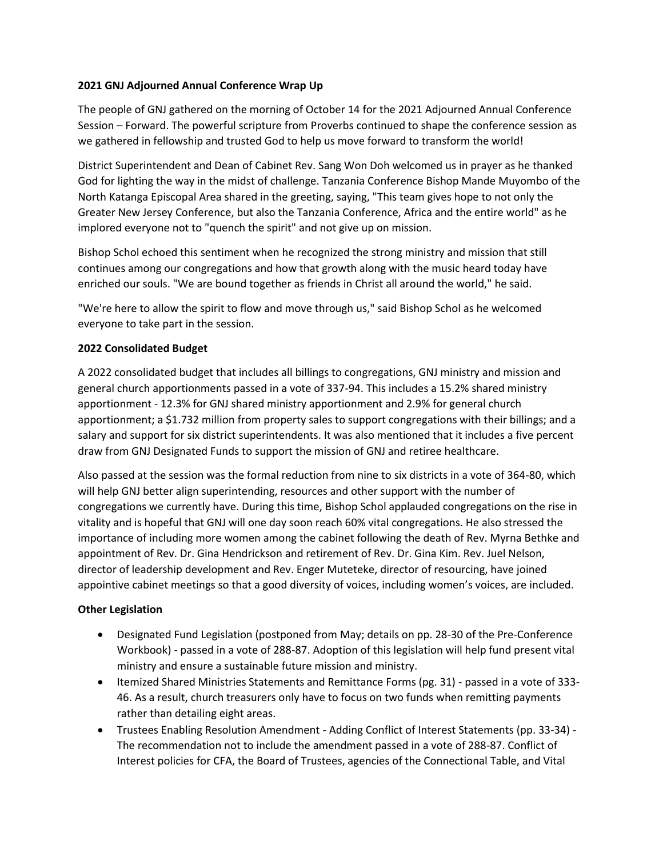## **2021 GNJ Adjourned Annual Conference Wrap Up**

The people of GNJ gathered on the morning of October 14 for the 2021 Adjourned Annual Conference Session – Forward. The powerful scripture from Proverbs continued to shape the conference session as we gathered in fellowship and trusted God to help us move forward to transform the world!

District Superintendent and Dean of Cabinet Rev. Sang Won Doh welcomed us in prayer as he thanked God for lighting the way in the midst of challenge. Tanzania Conference Bishop Mande Muyombo of the North Katanga Episcopal Area shared in the greeting, saying, "This team gives hope to not only the Greater New Jersey Conference, but also the Tanzania Conference, Africa and the entire world" as he implored everyone not to "quench the spirit" and not give up on mission.

Bishop Schol echoed this sentiment when he recognized the strong ministry and mission that still continues among our congregations and how that growth along with the music heard today have enriched our souls. "We are bound together as friends in Christ all around the world," he said.

"We're here to allow the spirit to flow and move through us," said Bishop Schol as he welcomed everyone to take part in the session.

## **2022 Consolidated Budget**

A 2022 consolidated budget that includes all billings to congregations, GNJ ministry and mission and general church apportionments passed in a vote of 337-94. This includes a 15.2% shared ministry apportionment - 12.3% for GNJ shared ministry apportionment and 2.9% for general church apportionment; a \$1.732 million from property sales to support congregations with their billings; and a salary and support for six district superintendents. It was also mentioned that it includes a five percent draw from GNJ Designated Funds to support the mission of GNJ and retiree healthcare.

Also passed at the session was the formal reduction from nine to six districts in a vote of 364-80, which will help GNJ better align superintending, resources and other support with the number of congregations we currently have. During this time, Bishop Schol applauded congregations on the rise in vitality and is hopeful that GNJ will one day soon reach 60% vital congregations. He also stressed the importance of including more women among the cabinet following the death of Rev. Myrna Bethke and appointment of Rev. Dr. Gina Hendrickson and retirement of Rev. Dr. Gina Kim. Rev. Juel Nelson, director of leadership development and Rev. Enger Muteteke, director of resourcing, have joined appointive cabinet meetings so that a good diversity of voices, including women's voices, are included.

## **Other Legislation**

- Designated Fund Legislation (postponed from May; details on pp. 28-30 of the Pre-Conference Workbook) - passed in a vote of 288-87. Adoption of this legislation will help fund present vital ministry and ensure a sustainable future mission and ministry.
- Itemized Shared Ministries Statements and Remittance Forms (pg. 31) passed in a vote of 333- 46. As a result, church treasurers only have to focus on two funds when remitting payments rather than detailing eight areas.
- Trustees Enabling Resolution Amendment Adding Conflict of Interest Statements (pp. 33-34) The recommendation not to include the amendment passed in a vote of 288-87. Conflict of Interest policies for CFA, the Board of Trustees, agencies of the Connectional Table, and Vital